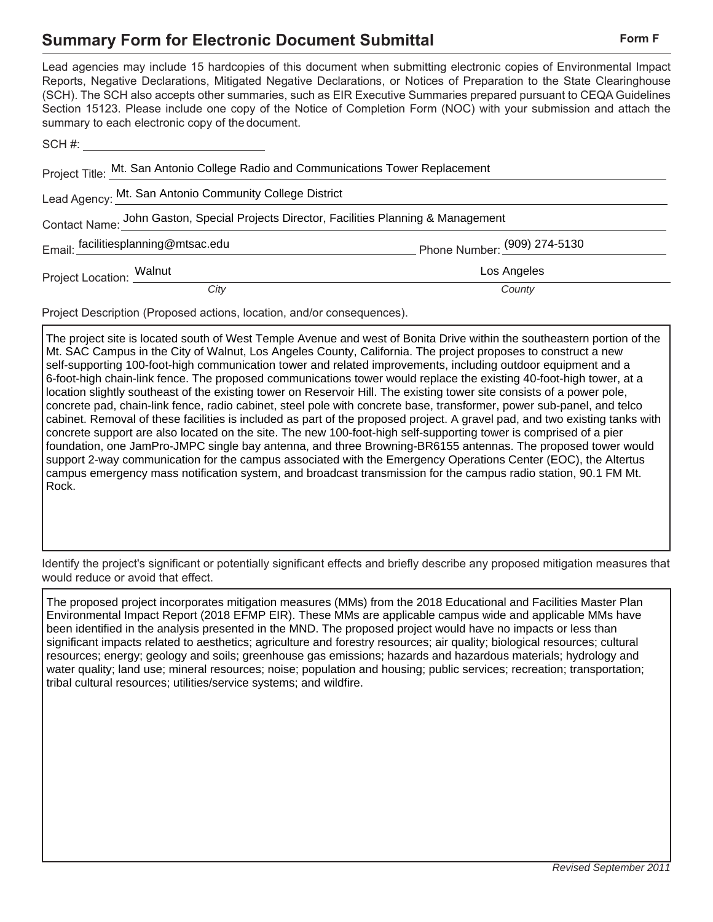## **Summary Form for Electronic Document Submittal Form Form Form F**

| summary to each electronic copy of the document.                                       | Lead agencies may include 15 hardcopies of this document when submitting electronic copies of Environmental Impact<br>Reports, Negative Declarations, Mitigated Negative Declarations, or Notices of Preparation to the State Clearinghouse<br>(SCH). The SCH also accepts other summaries, such as EIR Executive Summaries prepared pursuant to CEQA Guidelines<br>Section 15123. Please include one copy of the Notice of Completion Form (NOC) with your submission and attach the |
|----------------------------------------------------------------------------------------|---------------------------------------------------------------------------------------------------------------------------------------------------------------------------------------------------------------------------------------------------------------------------------------------------------------------------------------------------------------------------------------------------------------------------------------------------------------------------------------|
| SCH #: __________________________________                                              |                                                                                                                                                                                                                                                                                                                                                                                                                                                                                       |
| Project Title: Mt. San Antonio College Radio and Communications Tower Replacement      |                                                                                                                                                                                                                                                                                                                                                                                                                                                                                       |
| Lead Agency: Mt. San Antonio Community College District                                |                                                                                                                                                                                                                                                                                                                                                                                                                                                                                       |
| Contact Name: John Gaston, Special Projects Director, Facilities Planning & Management |                                                                                                                                                                                                                                                                                                                                                                                                                                                                                       |
| Email: facilitiesplanning@mtsac.edu                                                    | Phone Number: (909) 274-5130                                                                                                                                                                                                                                                                                                                                                                                                                                                          |
| Project Location: Walnut                                                               | Los Angeles                                                                                                                                                                                                                                                                                                                                                                                                                                                                           |
| City                                                                                   | County                                                                                                                                                                                                                                                                                                                                                                                                                                                                                |
| Project Description (Proposed actions, location, and/or consequences).                 |                                                                                                                                                                                                                                                                                                                                                                                                                                                                                       |

The project site is located south of West Temple Avenue and west of Bonita Drive within the southeastern portion of the Mt. SAC Campus in the City of Walnut, Los Angeles County, California. The project proposes to construct a new self-supporting 100-foot-high communication tower and related improvements, including outdoor equipment and a 6-foot-high chain-link fence. The proposed communications tower would replace the existing 40-foot-high tower, at a location slightly southeast of the existing tower on Reservoir Hill. The existing tower site consists of a power pole, concrete pad, chain-link fence, radio cabinet, steel pole with concrete base, transformer, power sub-panel, and telco cabinet. Removal of these facilities is included as part of the proposed project. A gravel pad, and two existing tanks with concrete support are also located on the site. The new 100-foot-high self-supporting tower is comprised of a pier foundation, one JamPro-JMPC single bay antenna, and three Browning-BR6155 antennas. The proposed tower would support 2-way communication for the campus associated with the Emergency Operations Center (EOC), the Altertus campus emergency mass notification system, and broadcast transmission for the campus radio station, 90.1 FM Mt. Rock.

Identify the project's significant or potentially significant effects and briefly describe any proposed mitigation measures that would reduce or avoid that effect.

The proposed project incorporates mitigation measures (MMs) from the 2018 Educational and Facilities Master Plan Environmental Impact Report (2018 EFMP EIR). These MMs are applicable campus wide and applicable MMs have been identified in the analysis presented in the MND. The proposed project would have no impacts or less than significant impacts related to aesthetics; agriculture and forestry resources; air quality; biological resources; cultural resources; energy; geology and soils; greenhouse gas emissions; hazards and hazardous materials; hydrology and water quality; land use; mineral resources; noise; population and housing; public services; recreation; transportation; tribal cultural resources; utilities/service systems; and wildfire.